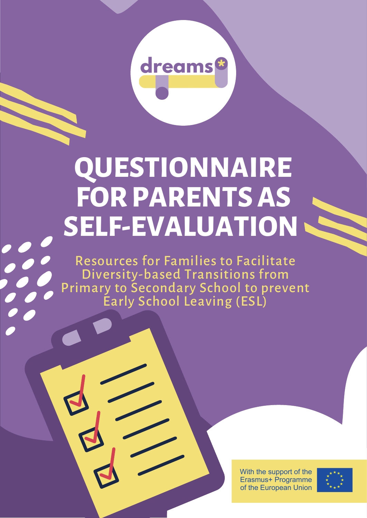

## **QUESTIONNAIRE FORPARENTSAS SELF-EVALUATION**

Resources for Families to Facilitate Diversity-based Transitions from Primary to Secondary School to prevent Early School Leaving (ESL)

> With the support of the Erasmus+ Programme of the European Union

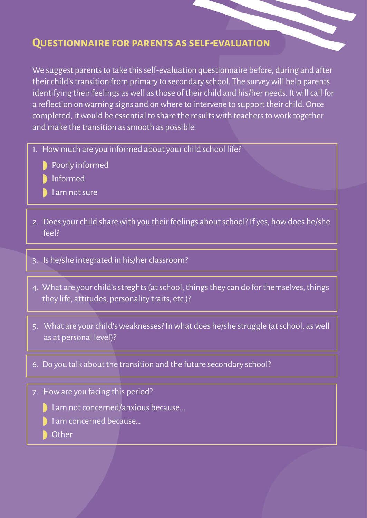## **Questionnaire for parents as self-evaluation**

We suggest parents to take this self-evaluation questionnaire before, during and after their child's transition from primary to secondary school. The survey will help parents identifying their feelings as well as those of their child and his/her needs. It will call for a reflection on warning signs and on where to intervene to support their child. Once completed, it would be essential to share the results with teachers to work together and make the transition as smooth as possible.

- 1. How much are you informed about your child school life?
	- **Poorly informed**
	- **Informed**
	- $\blacksquare$  I am not sure
- 2. Does your child share with you their feelings about school? If yes, how does he/she feel?
- 3. Is he/she integrated in his/her classroom?
- 4. What are your child's streghts (at school, things they can do for themselves, things they life, attitudes, personality traits, etc.)?
- 5. What are your child's weaknesses? In what does he/she struggle (at school, as well as at personal level)?
- 6. Do you talk about the transition and the future secondary school?
- 7. How are you facing this period?
	- I am not concerned/anxious because...
	- I am concerned because…
	- **Other**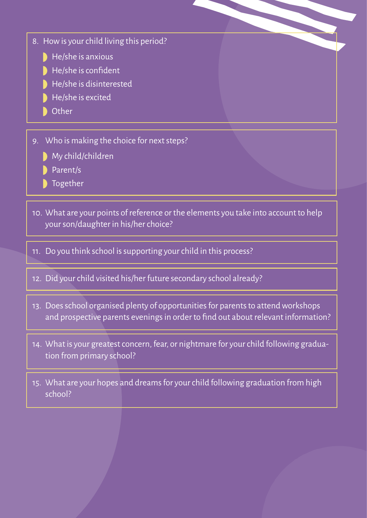- 8. How is your child living this period?
	- $\blacksquare$  He/she is anxious
	- $\overline{\phantom{a}}$  He/she is confident
	- He/she is disinterested
	- $\blacksquare$  He/she is excited
	- Other
- 9. Who is making the choice for next steps?
	- **My child/children**
	- Parent/s
	- Together
- 10. What are your points of reference or the elements you take into account to help your son/daughter in his/her choice?
- 11. Do you think school is supporting your child in this process?
- 12. Did your child visited his/her future secondary school already?
- 13. Does school organised plenty of opportunities for parents to attend workshops and prospective parents evenings in order to fnd out about relevant information?
- 14. What is your greatest concern, fear, or nightmare for your child following graduation from primary school?
- 15. What are your hopes and dreams for your child following graduation from high school?